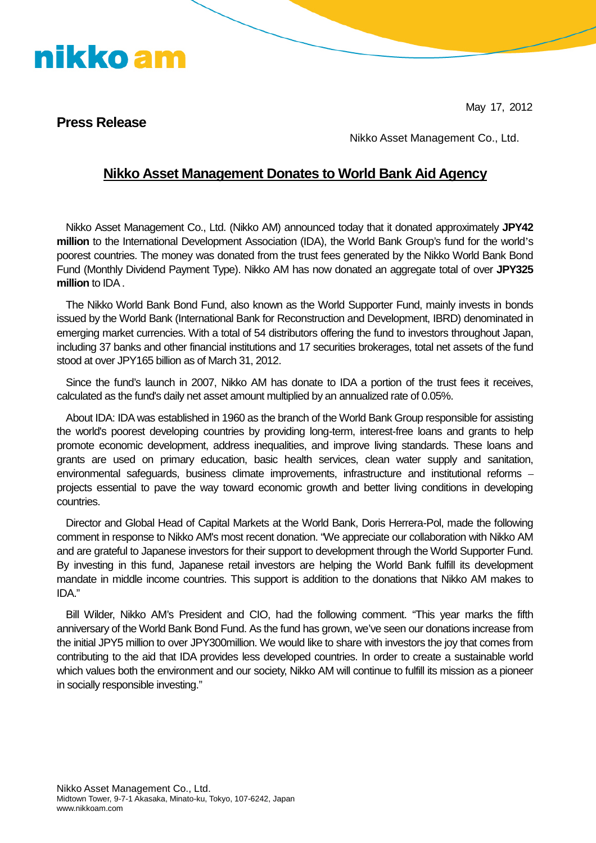May 17, 2012

### **Press Release**

nikko am

Nikko Asset Management Co., Ltd.

### **Nikko Asset Management Donates to World Bank Aid Agency**

Nikko Asset Management Co., Ltd. (Nikko AM) announced today that it donated approximately **JPY42 million** to the International Development Association (IDA), the World Bank Group's fund for the world's poorest countries. The money was donated from the trust fees generated by the Nikko World Bank Bond Fund (Monthly Dividend Payment Type). Nikko AM has now donated an aggregate total of over **JPY325 million** to IDA.

The Nikko World Bank Bond Fund, also known as the World Supporter Fund, mainly invests in bonds issued by the World Bank (International Bank for Reconstruction and Development, IBRD) denominated in emerging market currencies. With a total of 54 distributors offering the fund to investors throughout Japan, including 37 banks and other financial institutions and 17 securities brokerages, total net assets of the fund stood at over JPY165 billion as of March 31, 2012.

Since the fund's launch in 2007, Nikko AM has donate to IDA a portion of the trust fees it receives, calculated as the fund's daily net asset amount multiplied by an annualized rate of 0.05%.

About IDA: IDA was established in 1960 as the branch of the World Bank Group responsible for assisting the world's poorest developing countries by providing long-term, interest-free loans and grants to help promote economic development, address inequalities, and improve living standards. These loans and grants are used on primary education, basic health services, clean water supply and sanitation, environmental safeguards, business climate improvements, infrastructure and institutional reforms – projects essential to pave the way toward economic growth and better living conditions in developing countries.

Director and Global Head of Capital Markets at the World Bank, Doris Herrera-Pol, made the following comment in response to Nikko AM's most recent donation. "We appreciate our collaboration with Nikko AM and are grateful to Japanese investors for their support to development through the World Supporter Fund. By investing in this fund, Japanese retail investors are helping the World Bank fulfill its development mandate in middle income countries. This support is addition to the donations that Nikko AM makes to IDA."

Bill Wilder, Nikko AM's President and CIO, had the following comment. "This year marks the fifth anniversary of the World Bank Bond Fund. As the fund has grown, we've seen our donations increase from the initial JPY5 million to over JPY300million. We would like to share with investors the joy that comes from contributing to the aid that IDA provides less developed countries. In order to create a sustainable world which values both the environment and our society, Nikko AM will continue to fulfill its mission as a pioneer in socially responsible investing."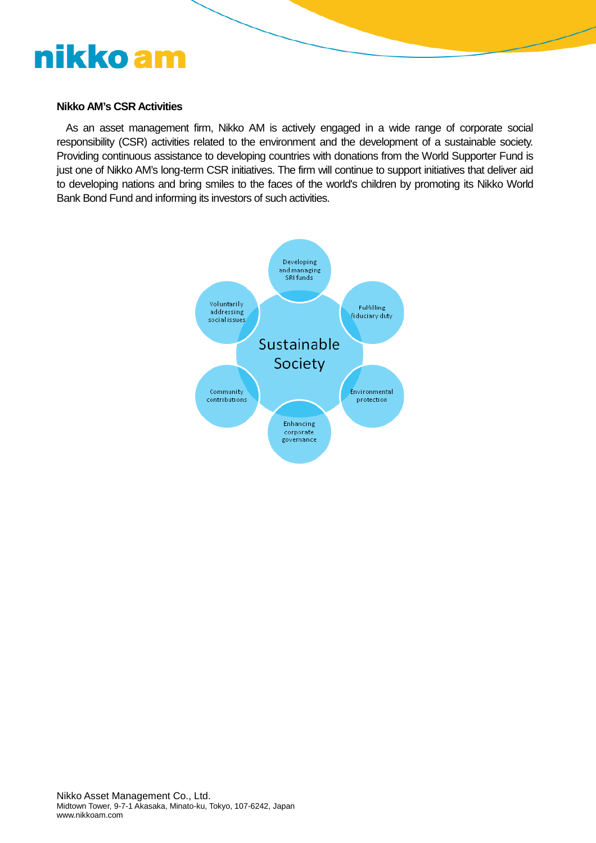#### **Nikko AM's CSR Activities**

As an asset management firm, Nikko AM is actively engaged in a wide range of corporate social responsibility (CSR) activities related to the environment and the development of a sustainable society. Providing continuous assistance to developing countries with donations from the World Supporter Fund is just one of Nikko AM's long-term CSR initiatives. The firm will continue to support initiatives that deliver aid to developing nations and bring smiles to the faces of the world's children by promoting its Nikko World Bank Bond Fund and informing its investors of such activities.

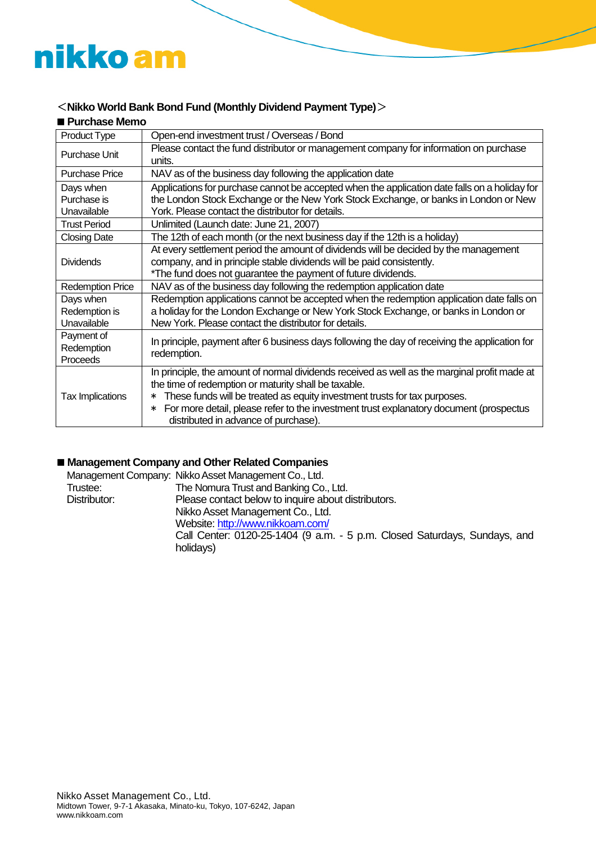### <**Nikko World Bank Bond Fund (Monthly Dividend Payment Type)**>

| <b>Purchase Memo</b>                      |                                                                                                                                                                                                                                                                                                                                                                                    |  |
|-------------------------------------------|------------------------------------------------------------------------------------------------------------------------------------------------------------------------------------------------------------------------------------------------------------------------------------------------------------------------------------------------------------------------------------|--|
| Product Type                              | Open-end investment trust / Overseas / Bond                                                                                                                                                                                                                                                                                                                                        |  |
| Purchase Unit                             | Please contact the fund distributor or management company for information on purchase<br>units.                                                                                                                                                                                                                                                                                    |  |
| Purchase Price                            | NAV as of the business day following the application date                                                                                                                                                                                                                                                                                                                          |  |
| Days when<br>Purchase is<br>Unavailable   | Applications for purchase cannot be accepted when the application date falls on a holiday for<br>the London Stock Exchange or the New York Stock Exchange, or banks in London or New<br>York. Please contact the distributor for details.                                                                                                                                          |  |
| <b>Trust Period</b>                       | Unlimited (Launch date: June 21, 2007)                                                                                                                                                                                                                                                                                                                                             |  |
| <b>Closing Date</b>                       | The 12th of each month (or the next business day if the 12th is a holiday)                                                                                                                                                                                                                                                                                                         |  |
| <b>Dividends</b>                          | At every settlement period the amount of dividends will be decided by the management<br>company, and in principle stable dividends will be paid consistently.<br>*The fund does not guarantee the payment of future dividends.                                                                                                                                                     |  |
| <b>Redemption Price</b>                   | NAV as of the business day following the redemption application date                                                                                                                                                                                                                                                                                                               |  |
| Days when<br>Redemption is<br>Unavailable | Redemption applications cannot be accepted when the redemption application date falls on<br>a holiday for the London Exchange or New York Stock Exchange, or banks in London or<br>New York. Please contact the distributor for details.                                                                                                                                           |  |
| Payment of<br>Redemption<br>Proceeds      | In principle, payment after 6 business days following the day of receiving the application for<br>redemption.                                                                                                                                                                                                                                                                      |  |
| <b>Tax Implications</b>                   | In principle, the amount of normal dividends received as well as the marginal profit made at<br>the time of redemption or maturity shall be taxable.<br>These funds will be treated as equity investment trusts for tax purposes.<br>∗<br>For more detail, please refer to the investment trust explanatory document (prospectus<br>$\ast$<br>distributed in advance of purchase). |  |

### **Management Company and Other Related Companies**

|              | Management Company: Nikko Asset Management Co., Ltd.                      |
|--------------|---------------------------------------------------------------------------|
| Trustee:     | The Nomura Trust and Banking Co., Ltd.                                    |
| Distributor: | Please contact below to inquire about distributors.                       |
|              | Nikko Asset Management Co., Ltd.                                          |
|              | Website: http://www.nikkoam.com/                                          |
|              | Call Center: 0120-25-1404 (9 a.m. - 5 p.m. Closed Saturdays, Sundays, and |
|              | holidays)                                                                 |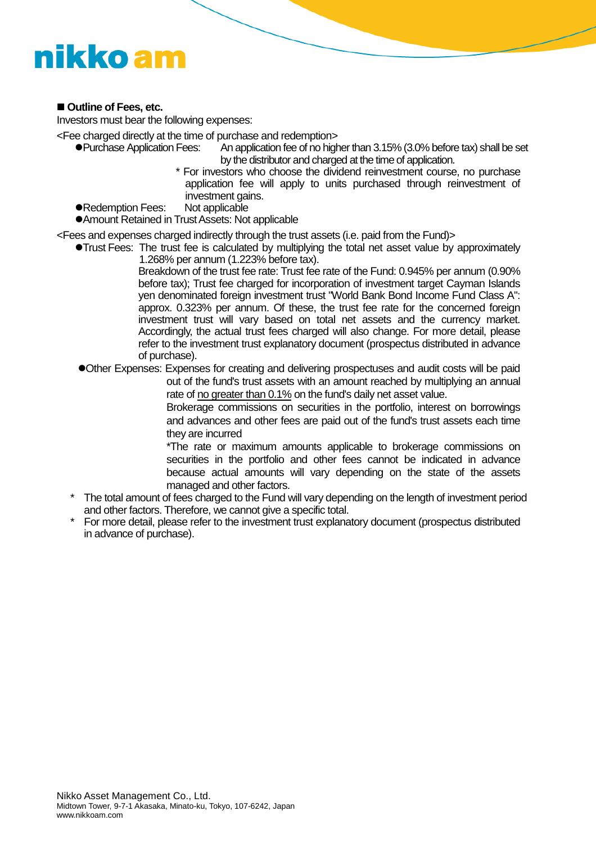### ■ Outline of Fees, etc.

Investors must bear the following expenses:

<Fee charged directly at the time of purchase and redemption>

- ●Purchase Application Fees: An application fee of no higher than 3.15% (3.0% before tax) shall be set by the distributor and charged at the time of application.
	- \* For investors who choose the dividend reinvestment course, no purchase application fee will apply to units purchased through reinvestment of investment gains.
- Redemption Fees: Not applicable

Amount Retained in TrustAssets: Not applicable

<Fees and expenses charged indirectly through the trust assets (i.e. paid from the Fund)>

Trust Fees: The trust fee is calculated by multiplying the total net asset value by approximately 1.268% per annum (1.223% before tax).

Breakdown of the trust fee rate: Trust fee rate of the Fund: 0.945% per annum (0.90% before tax); Trust fee charged for incorporation of investment target Cayman Islands yen denominated foreign investment trust "World Bank Bond Income Fund Class A": approx. 0.323% per annum. Of these, the trust fee rate for the concerned foreign investment trust will vary based on total net assets and the currency market. Accordingly, the actual trust fees charged will also change. For more detail, please refer to the investment trust explanatory document (prospectus distributed in advance of purchase).

Other Expenses: Expenses for creating and delivering prospectuses and audit costs will be paid out of the fund's trust assets with an amount reached by multiplying an annual rate of no greater than 0.1% on the fund's daily net asset value.

> Brokerage commissions on securities in the portfolio, interest on borrowings and advances and other fees are paid out of the fund's trust assets each time they are incurred

> \*The rate or maximum amounts applicable to brokerage commissions on securities in the portfolio and other fees cannot be indicated in advance because actual amounts will vary depending on the state of the assets managed and other factors.

- The total amount of fees charged to the Fund will vary depending on the length of investment period and other factors. Therefore, we cannot give a specific total.
- For more detail, please refer to the investment trust explanatory document (prospectus distributed in advance of purchase).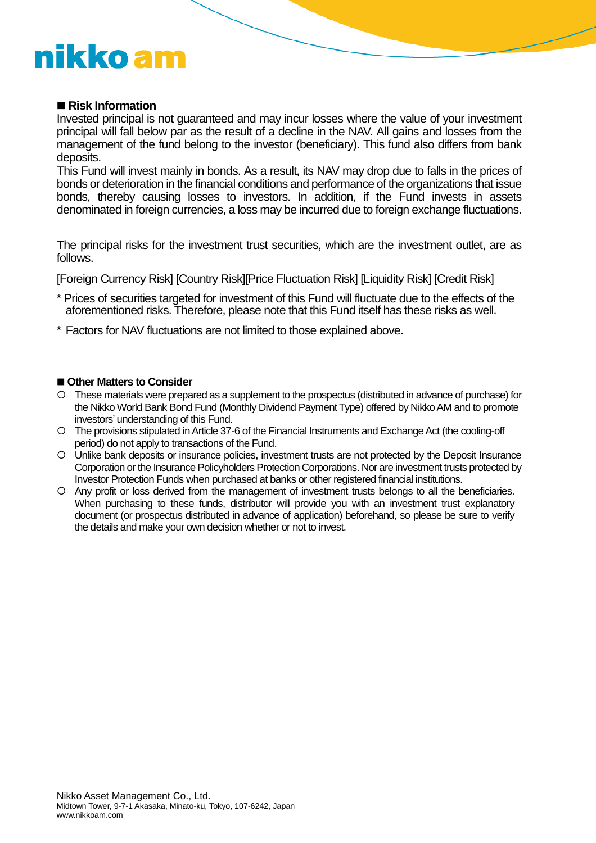### ■ Risk Information

Invested principal is not guaranteed and may incur losses where the value of your investment principal will fall below par as the result of a decline in the NAV. All gains and losses from the management of the fund belong to the investor (beneficiary). This fund also differs from bank deposits.

This Fund will invest mainly in bonds. As a result, its NAV may drop due to falls in the prices of bonds or deterioration in the financial conditions and performance of the organizations that issue bonds, thereby causing losses to investors. In addition, if the Fund invests in assets denominated in foreign currencies, a loss may be incurred due to foreign exchange fluctuations.

The principal risks for the investment trust securities, which are the investment outlet, are as follows.

[Foreign Currency Risk] [Country Risk][Price Fluctuation Risk] [Liquidity Risk] [Credit Risk]

- \* Prices of securities targeted for investment of this Fund will fluctuate due to the effects of the aforementioned risks. Therefore, please note that this Fund itself has these risks as well.
- \* Factors for NAV fluctuations are not limited to those explained above.

#### ■ Other Matters to Consider

- These materials were prepared as a supplement to the prospectus (distributed in advance of purchase) for the Nikko World Bank Bond Fund (Monthly Dividend Payment Type) offered by Nikko AM and to promote investors' understanding of this Fund.
- The provisions stipulated inArticle 37-6 of the Financial Instruments and ExchangeAct (the cooling-off period) do not apply to transactions of the Fund.
- Unlike bank deposits or insurance policies, investment trusts are not protected by the Deposit Insurance Corporation or the Insurance Policyholders Protection Corporations. Nor are investment trusts protected by Investor Protection Funds when purchased at banks or other registered financial institutions.
- Any profit or loss derived from the management of investment trusts belongs to all the beneficiaries. When purchasing to these funds, distributor will provide you with an investment trust explanatory document (or prospectus distributed in advance of application) beforehand, so please be sure to verify the details and make your own decision whether or not to invest.